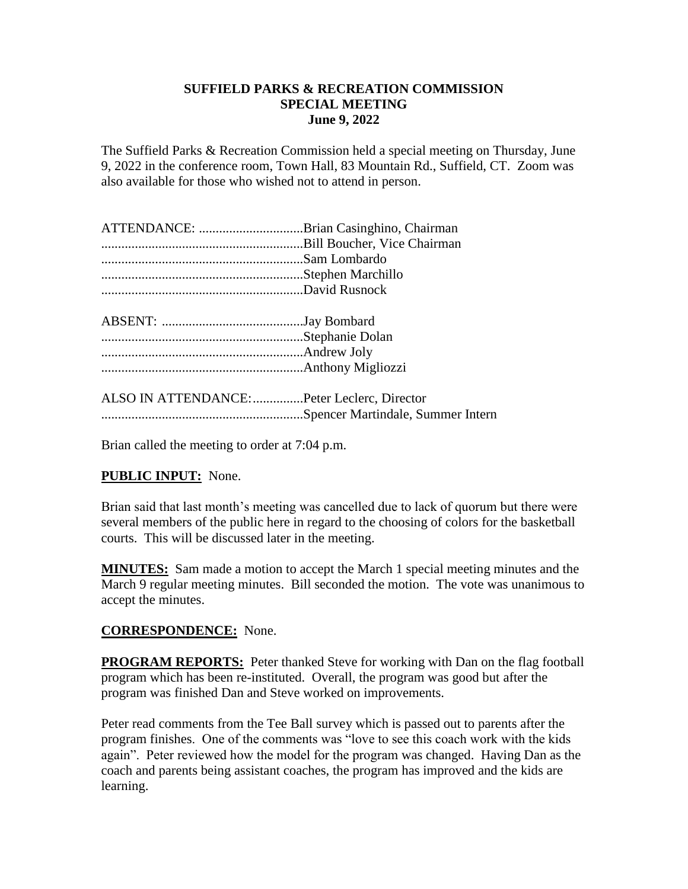### **SUFFIELD PARKS & RECREATION COMMISSION SPECIAL MEETING June 9, 2022**

The Suffield Parks & Recreation Commission held a special meeting on Thursday, June 9, 2022 in the conference room, Town Hall, 83 Mountain Rd., Suffield, CT. Zoom was also available for those who wished not to attend in person.

| ATTENDANCE: Brian Casinghino, Chairman |  |
|----------------------------------------|--|
|                                        |  |
|                                        |  |
|                                        |  |
|                                        |  |
|                                        |  |

ALSO IN ATTENDANCE:...............Peter Leclerc, Director ............................................................Spencer Martindale, Summer Intern

Brian called the meeting to order at 7:04 p.m.

# **PUBLIC INPUT:** None.

Brian said that last month's meeting was cancelled due to lack of quorum but there were several members of the public here in regard to the choosing of colors for the basketball courts. This will be discussed later in the meeting.

**MINUTES:** Sam made a motion to accept the March 1 special meeting minutes and the March 9 regular meeting minutes. Bill seconded the motion. The vote was unanimous to accept the minutes.

## **CORRESPONDENCE:** None.

**PROGRAM REPORTS:** Peter thanked Steve for working with Dan on the flag football program which has been re-instituted. Overall, the program was good but after the program was finished Dan and Steve worked on improvements.

Peter read comments from the Tee Ball survey which is passed out to parents after the program finishes. One of the comments was "love to see this coach work with the kids again". Peter reviewed how the model for the program was changed. Having Dan as the coach and parents being assistant coaches, the program has improved and the kids are learning.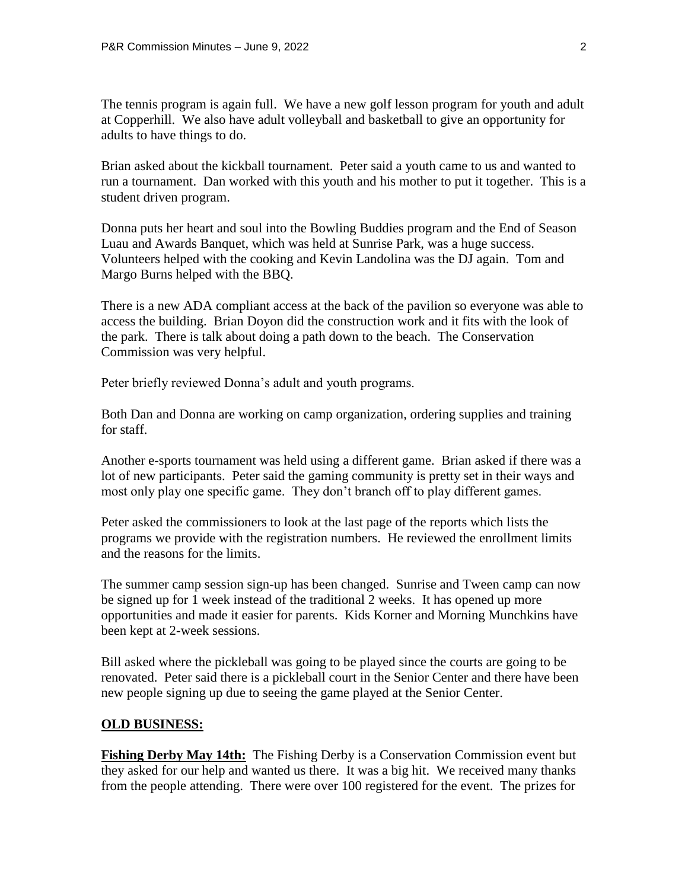The tennis program is again full. We have a new golf lesson program for youth and adult at Copperhill. We also have adult volleyball and basketball to give an opportunity for adults to have things to do.

Brian asked about the kickball tournament. Peter said a youth came to us and wanted to run a tournament. Dan worked with this youth and his mother to put it together. This is a student driven program.

Donna puts her heart and soul into the Bowling Buddies program and the End of Season Luau and Awards Banquet, which was held at Sunrise Park, was a huge success. Volunteers helped with the cooking and Kevin Landolina was the DJ again. Tom and Margo Burns helped with the BBQ.

There is a new ADA compliant access at the back of the pavilion so everyone was able to access the building. Brian Doyon did the construction work and it fits with the look of the park. There is talk about doing a path down to the beach. The Conservation Commission was very helpful.

Peter briefly reviewed Donna's adult and youth programs.

Both Dan and Donna are working on camp organization, ordering supplies and training for staff.

Another e-sports tournament was held using a different game. Brian asked if there was a lot of new participants. Peter said the gaming community is pretty set in their ways and most only play one specific game. They don't branch off to play different games.

Peter asked the commissioners to look at the last page of the reports which lists the programs we provide with the registration numbers. He reviewed the enrollment limits and the reasons for the limits.

The summer camp session sign-up has been changed. Sunrise and Tween camp can now be signed up for 1 week instead of the traditional 2 weeks. It has opened up more opportunities and made it easier for parents. Kids Korner and Morning Munchkins have been kept at 2-week sessions.

Bill asked where the pickleball was going to be played since the courts are going to be renovated. Peter said there is a pickleball court in the Senior Center and there have been new people signing up due to seeing the game played at the Senior Center.

#### **OLD BUSINESS:**

**Fishing Derby May 14th:** The Fishing Derby is a Conservation Commission event but they asked for our help and wanted us there. It was a big hit. We received many thanks from the people attending. There were over 100 registered for the event. The prizes for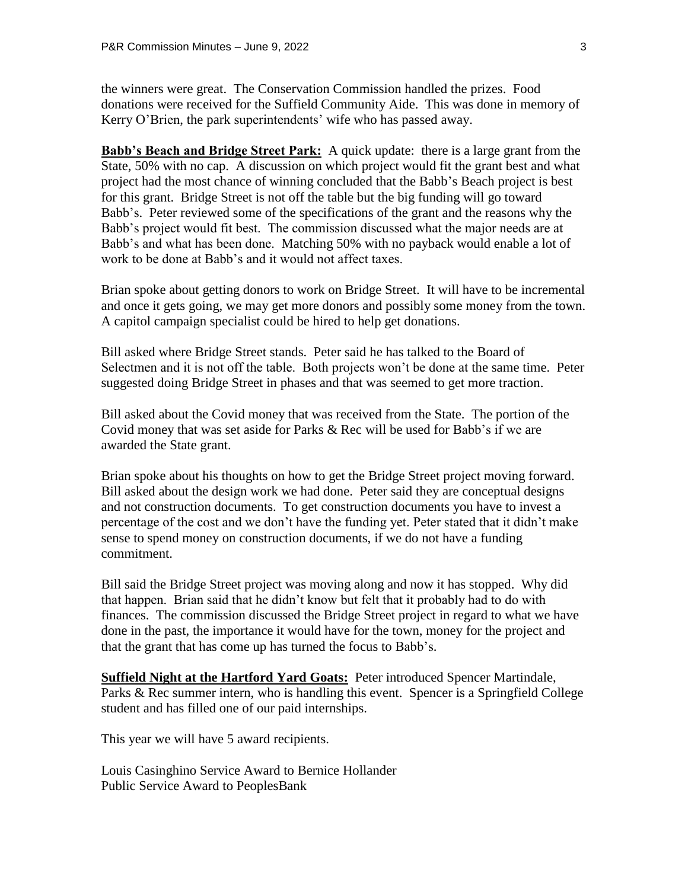the winners were great. The Conservation Commission handled the prizes. Food donations were received for the Suffield Community Aide. This was done in memory of Kerry O'Brien, the park superintendents' wife who has passed away.

**Babb's Beach and Bridge Street Park:** A quick update: there is a large grant from the State, 50% with no cap. A discussion on which project would fit the grant best and what project had the most chance of winning concluded that the Babb's Beach project is best for this grant. Bridge Street is not off the table but the big funding will go toward Babb's. Peter reviewed some of the specifications of the grant and the reasons why the Babb's project would fit best. The commission discussed what the major needs are at Babb's and what has been done. Matching 50% with no payback would enable a lot of work to be done at Babb's and it would not affect taxes.

Brian spoke about getting donors to work on Bridge Street. It will have to be incremental and once it gets going, we may get more donors and possibly some money from the town. A capitol campaign specialist could be hired to help get donations.

Bill asked where Bridge Street stands. Peter said he has talked to the Board of Selectmen and it is not off the table. Both projects won't be done at the same time. Peter suggested doing Bridge Street in phases and that was seemed to get more traction.

Bill asked about the Covid money that was received from the State. The portion of the Covid money that was set aside for Parks & Rec will be used for Babb's if we are awarded the State grant.

Brian spoke about his thoughts on how to get the Bridge Street project moving forward. Bill asked about the design work we had done. Peter said they are conceptual designs and not construction documents. To get construction documents you have to invest a percentage of the cost and we don't have the funding yet. Peter stated that it didn't make sense to spend money on construction documents, if we do not have a funding commitment.

Bill said the Bridge Street project was moving along and now it has stopped. Why did that happen. Brian said that he didn't know but felt that it probably had to do with finances. The commission discussed the Bridge Street project in regard to what we have done in the past, the importance it would have for the town, money for the project and that the grant that has come up has turned the focus to Babb's.

**Suffield Night at the Hartford Yard Goats:** Peter introduced Spencer Martindale, Parks & Rec summer intern, who is handling this event. Spencer is a Springfield College student and has filled one of our paid internships.

This year we will have 5 award recipients.

Louis Casinghino Service Award to Bernice Hollander Public Service Award to PeoplesBank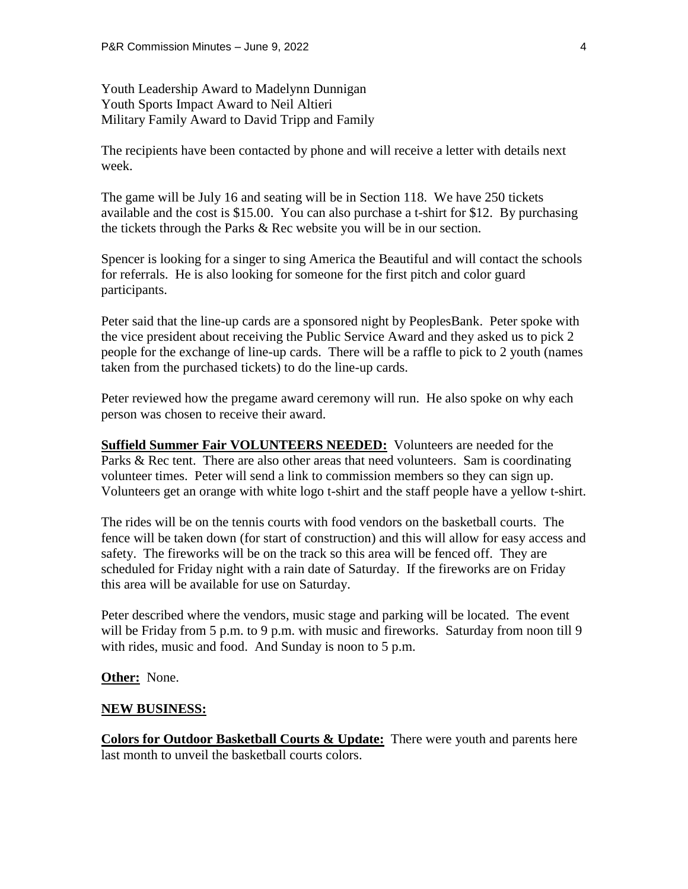Youth Leadership Award to Madelynn Dunnigan Youth Sports Impact Award to Neil Altieri Military Family Award to David Tripp and Family

The recipients have been contacted by phone and will receive a letter with details next week.

The game will be July 16 and seating will be in Section 118. We have 250 tickets available and the cost is \$15.00. You can also purchase a t-shirt for \$12. By purchasing the tickets through the Parks & Rec website you will be in our section.

Spencer is looking for a singer to sing America the Beautiful and will contact the schools for referrals. He is also looking for someone for the first pitch and color guard participants.

Peter said that the line-up cards are a sponsored night by PeoplesBank. Peter spoke with the vice president about receiving the Public Service Award and they asked us to pick 2 people for the exchange of line-up cards. There will be a raffle to pick to 2 youth (names taken from the purchased tickets) to do the line-up cards.

Peter reviewed how the pregame award ceremony will run. He also spoke on why each person was chosen to receive their award.

**Suffield Summer Fair VOLUNTEERS NEEDED:** Volunteers are needed for the Parks & Rec tent. There are also other areas that need volunteers. Sam is coordinating volunteer times. Peter will send a link to commission members so they can sign up. Volunteers get an orange with white logo t-shirt and the staff people have a yellow t-shirt.

The rides will be on the tennis courts with food vendors on the basketball courts. The fence will be taken down (for start of construction) and this will allow for easy access and safety. The fireworks will be on the track so this area will be fenced off. They are scheduled for Friday night with a rain date of Saturday. If the fireworks are on Friday this area will be available for use on Saturday.

Peter described where the vendors, music stage and parking will be located. The event will be Friday from 5 p.m. to 9 p.m. with music and fireworks. Saturday from noon till 9 with rides, music and food. And Sunday is noon to 5 p.m.

**Other:** None.

#### **NEW BUSINESS:**

**Colors for Outdoor Basketball Courts & Update:** There were youth and parents here last month to unveil the basketball courts colors.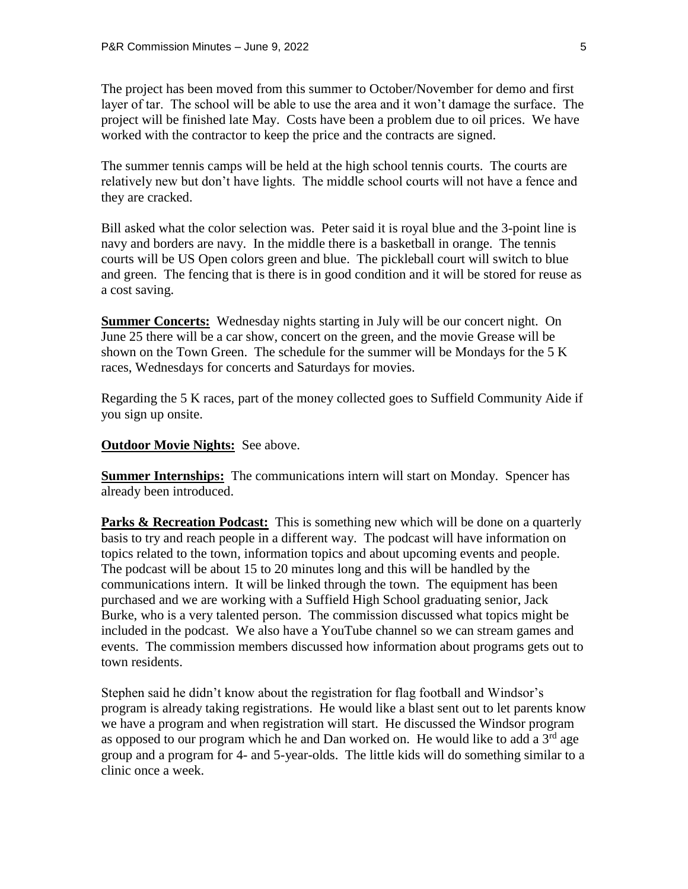The project has been moved from this summer to October/November for demo and first layer of tar. The school will be able to use the area and it won't damage the surface. The project will be finished late May. Costs have been a problem due to oil prices. We have worked with the contractor to keep the price and the contracts are signed.

The summer tennis camps will be held at the high school tennis courts. The courts are relatively new but don't have lights. The middle school courts will not have a fence and they are cracked.

Bill asked what the color selection was. Peter said it is royal blue and the 3-point line is navy and borders are navy. In the middle there is a basketball in orange. The tennis courts will be US Open colors green and blue. The pickleball court will switch to blue and green. The fencing that is there is in good condition and it will be stored for reuse as a cost saving.

**Summer Concerts:** Wednesday nights starting in July will be our concert night. On June 25 there will be a car show, concert on the green, and the movie Grease will be shown on the Town Green. The schedule for the summer will be Mondays for the 5 K races, Wednesdays for concerts and Saturdays for movies.

Regarding the 5 K races, part of the money collected goes to Suffield Community Aide if you sign up onsite.

**Outdoor Movie Nights:** See above.

**Summer Internships:** The communications intern will start on Monday. Spencer has already been introduced.

**Parks & Recreation Podcast:** This is something new which will be done on a quarterly basis to try and reach people in a different way. The podcast will have information on topics related to the town, information topics and about upcoming events and people. The podcast will be about 15 to 20 minutes long and this will be handled by the communications intern. It will be linked through the town. The equipment has been purchased and we are working with a Suffield High School graduating senior, Jack Burke, who is a very talented person. The commission discussed what topics might be included in the podcast. We also have a YouTube channel so we can stream games and events. The commission members discussed how information about programs gets out to town residents.

Stephen said he didn't know about the registration for flag football and Windsor's program is already taking registrations. He would like a blast sent out to let parents know we have a program and when registration will start. He discussed the Windsor program as opposed to our program which he and Dan worked on. He would like to add a  $3<sup>rd</sup>$  age group and a program for 4- and 5-year-olds. The little kids will do something similar to a clinic once a week.